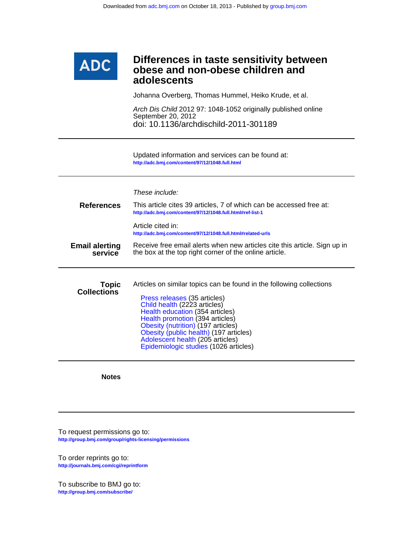

Johanna Overberg, Thomas Hummel, Heiko Krude, et al.

doi: 10.1136/archdischild-2011-301189 September 20, 2012 Arch Dis Child 2012 97: 1048-1052 originally published online

**<http://adc.bmj.com/content/97/12/1048.full.html>** Updated information and services can be found at:

|                                    | These include:                                                                                                                                                                                                                                                                                                                                                          |  |  |  |
|------------------------------------|-------------------------------------------------------------------------------------------------------------------------------------------------------------------------------------------------------------------------------------------------------------------------------------------------------------------------------------------------------------------------|--|--|--|
| <b>References</b>                  | This article cites 39 articles, 7 of which can be accessed free at:<br>http://adc.bmj.com/content/97/12/1048.full.html#ref-list-1                                                                                                                                                                                                                                       |  |  |  |
|                                    | Article cited in:<br>http://adc.bmj.com/content/97/12/1048.full.html#related-urls                                                                                                                                                                                                                                                                                       |  |  |  |
| <b>Email alerting</b><br>service   | Receive free email alerts when new articles cite this article. Sign up in<br>the box at the top right corner of the online article.                                                                                                                                                                                                                                     |  |  |  |
| <b>Topic</b><br><b>Collections</b> | Articles on similar topics can be found in the following collections<br>Press releases (35 articles)<br>Child health (2223 articles)<br>Health education (354 articles)<br>Health promotion (394 articles)<br>Obesity (nutrition) (197 articles)<br>Obesity (public health) (197 articles)<br>Adolescent health (205 articles)<br>Epidemiologic studies (1026 articles) |  |  |  |

**Notes**

**<http://group.bmj.com/group/rights-licensing/permissions>** To request permissions go to:

**<http://journals.bmj.com/cgi/reprintform>** To order reprints go to:

**<http://group.bmj.com/subscribe/>** To subscribe to BMJ go to: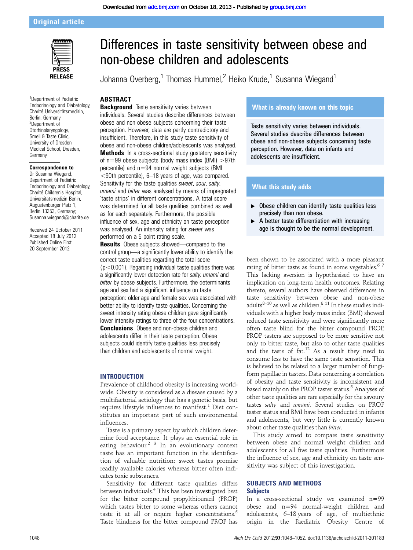# Original article



1 Department of Pediatric Endocrinology and Diabetology, Charité Universitätsmedizin, Berlin, Germany 2 Department of Otorhinolaryngology, Smell & Taste Clinic, University of Dresden Medical School, Dresden, Germany

#### Correspondence to

Dr Susanna Wiegand, Department of Pediatric Endocrinology and Diabetology, Charité Children's Hospital, Universitätsmedizin Berlin, Augustenburger Platz 1, Berlin 13353, Germany; Susanna.wiegand@charite.de

Received 24 October 2011 Accepted 18 July 2012 Published Online First 20 September 2012

# Differences in taste sensitivity between obese and non-obese children and adolescents

Johanna Overberg,<sup>1</sup> Thomas Hummel,<sup>2</sup> Heiko Krude,<sup>1</sup> Susanna Wiegand<sup>1</sup>

#### **ABSTRACT**

**Background** Taste sensitivity varies between individuals. Several studies describe differences between obese and non-obese subjects concerning their taste perception. However, data are partly contradictory and insufficient. Therefore, in this study taste sensitivity of obese and non-obese children/adolescents was analysed. Methods In a cross-sectional study gustatory sensitivity of n=99 obese subjects (body mass index (BMI) >97th percentile) and n=94 normal weight subjects (BMI <90th percentile), 6–18 years of age, was compared. Sensitivity for the taste qualities sweet, sour, salty, umami and bitter was analysed by means of impregnated 'taste strips' in different concentrations. A total score was determined for all taste qualities combined as well as for each separately. Furthermore, the possible influence of sex, age and ethnicity on taste perception was analysed. An intensity rating for sweet was performed on a 5-point rating scale.

Results Obese subjects showed—compared to the control group—a significantly lower ability to identify the correct taste qualities regarding the total score  $(p<0.001)$ . Regarding individual taste qualities there was a significantly lower detection rate for salty, umami and bitter by obese subjects. Furthermore, the determinants age and sex had a significant influence on taste perception: older age and female sex was associated with better ability to identify taste qualities. Concerning the sweet intensity rating obese children gave significantly lower intensity ratings to three of the four concentrations. **Conclusions** Obese and non-obese children and adolescents differ in their taste perception. Obese subjects could identify taste qualities less precisely than children and adolescents of normal weight.

# **INTRODUCTION**

Prevalence of childhood obesity is increasing worldwide. Obesity is considered as a disease caused by a multifactorial aetiology that has a genetic basis, but requires lifestyle influences to manifest.<sup>1</sup> Diet constitutes an important part of such environmental influences.

Taste is a primary aspect by which children determine food acceptance. It plays an essential role in eating behaviour.<sup>2</sup><sup>3</sup> In an evolutionary context taste has an important function in the identification of valuable nutrition: sweet tastes promise readily available calories whereas bitter often indicates toxic substances.

Sensitivity for different taste qualities differs between individuals.4 This has been investigated best for the bitter compound propylthiouracil (PROP) which tastes bitter to some whereas others cannot taste it at all or require higher concentrations. $5$ Taste blindness for the bitter compound PROP has

# What is already known on this topic

Taste sensitivity varies between individuals. Several studies describe differences between obese and non-obese subjects concerning taste perception. However, data on infants and adolescents are insufficient.

# What this study adds

- $\triangleright$  Obese children can identify taste qualities less precisely than non obese.
- A better taste differentiation with increasing age is thought to be the normal development.

been shown to be associated with a more pleasant rating of bitter taste as found in some vegetables.<sup>67</sup> This lacking aversion is hypothesised to have an implication on long-term health outcomes. Relating thereto, several authors have observed differences in taste sensitivity between obese and non-obese adults<sup>8-10</sup> as well as children.<sup>8 11</sup> In these studies individuals with a higher body mass index (BMI) showed reduced taste sensitivity and were significantly more often taste blind for the bitter compound PROP. PROP tasters are supposed to be more sensitive not only to bitter taste, but also to other taste qualities and the taste of  $fat.^{12}$  As a result they need to consume less to have the same taste sensation. This is believed to be related to a larger number of fungiform papillae in tasters. Data concerning a correlation of obesity and taste sensitivity is inconsistent and based mainly on the PROP taster status.<sup>8</sup> Analyses of other taste qualities are rare especially for the savoury tastes salty and umami. Several studies on PROP taster status and BMI have been conducted in infants and adolescents, but very little is currently known about other taste qualities than bitter.

This study aimed to compare taste sensitivity between obese and normal weight children and adolescents for all five taste qualities. Furthermore the influence of sex, age and ethnicity on taste sensitivity was subject of this investigation.

## SUBJECTS AND METHODS **Subjects**

In a cross-sectional study we examined n=99 obese and n=94 normal-weight children and adolescents, 6–18 years of age, of multiethnic origin in the Paediatric Obesity Centre of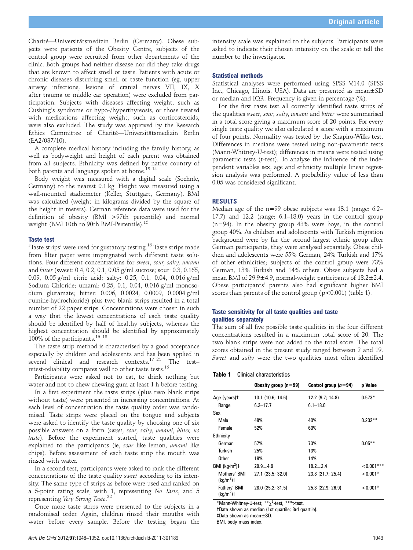Charité—Universitätsmedizin Berlin (Germany). Obese subjects were patients of the Obesity Centre, subjects of the control group were recruited from other departments of the clinic. Both groups had neither disease nor did they take drugs that are known to affect smell or taste. Patients with acute or chronic diseases disturbing smell or taste function (eg, upper airway infections, lesions of cranial nerves VII, IX, X after trauma or middle ear operation) were excluded from participation. Subjects with diseases affecting weight, such as Cushing's syndrome or hypo-/hyperthyreosis, or those treated with medications affecting weight, such as corticosteroids, were also excluded. The study was approved by the Research Ethics Committee of Charité—Universitätsmedizin Berlin (EA2/037/10).

A complete medical history including the family history, as well as bodyweight and height of each parent was obtained from all subjects. Ethnicity was defined by native country of both parents and language spoken at home.<sup>13</sup> <sup>14</sup>

Body weight was measured with a digital scale (Soehnle, Germany) to the nearest 0.1 kg. Height was measured using a wall-mounted stadiometer (Keller, Stuttgart, Germany). BMI was calculated (weight in kilograms divided by the square of the height in meters). German reference data were used for the definition of obesity (BMI >97th percentile) and normal weight (BMI 10th to 90th BMI-Percentile).<sup>15</sup>

#### Taste test

'Taste strips' were used for gustatory testing.<sup>16</sup> Taste strips made from filter paper were impregnated with different taste solutions. Four different concentrations for sweet, sour, salty, umami and bitter (sweet: 0.4, 0.2, 0.1, 0.05 g/ml sucrose; sour: 0.3, 0.165, 0.09, 0.05 g/ml citric acid; salty: 0.25, 0.1, 0.04, 0.016 g/ml Sodium Chloride; umami: 0.25, 0.1, 0.04, 0.016 g/ml monosodium glutamate; bitter: 0.006, 0.0024, 0.0009, 0.0004 g/ml quinine-hydrochloride) plus two blank strips resulted in a total number of 22 paper strips. Concentrations were chosen in such a way that the lowest concentrations of each taste quality should be identified by half of healthy subjects, whereas the highest concentration should be identified by approximately 100% of the participants.  $16-18$ 

The taste strip method is characterised by a good acceptance especially by children and adolescents and has been applied in several clinical and research contexts.<sup>17–21</sup> The test– retest-reliability compares well to other taste tests.<sup>16</sup>

Participants were asked not to eat, to drink nothing but water and not to chew chewing gum at least 1 h before testing.

In a first experiment the taste strips (plus two blank strips without taste) were presented in increasing concentrations. At each level of concentration the taste quality order was randomised. Taste strips were placed on the tongue and subjects were asked to identify the taste quality by choosing one of six possible answers on a form (sweet, sour, salty, umami, bitter, no taste). Before the experiment started, taste qualities were explained to the participants (ie, sour like lemon, umami like chips). Before assessment of each taste strip the mouth was rinsed with water.

In a second test, participants were asked to rank the different concentrations of the taste quality sweet according to its intensity. The same type of strips as before were used and ranked on a 5-point rating scale, with 1, representing No Taste, and 5 representing Very Strong Taste.<sup>22</sup><br>Once more taste strips were

Once more taste strips were presented to the subjects in a randomised order. Again, children rinsed their mouths with water before every sample. Before the testing began the intensity scale was explained to the subjects. Participants were asked to indicate their chosen intensity on the scale or tell the number to the investigator.

#### Statistical methods

Statistical analyses were performed using SPSS V.14.0 (SPSS Inc., Chicago, Illinois, USA). Data are presented as mean±SD or median and IQR. Frequency is given in percentage (%).

For the first taste test all correctly identified taste strips of the qualities sweet, sour, salty, umami and bitter were summarised in a total score giving a maximum score of 20 points. For every single taste quality we also calculated a score with a maximum of four points. Normality was tested by the Shapiro-Wilks test. Differences in medians were tested using non-parametric tests (Mann-Whitney-U-test); differences in means were tested using parametric tests (t-test). To analyse the influence of the independent variables sex, age and ethnicity multiple linear regression analysis was performed. A probability value of less than 0.05 was considered significant.

#### RESULTS

Median age of the n=99 obese subjects was 13.1 (range: 6.2– 17.7) and 12.2 (range: 6.1–18.0) years in the control group (n=94). In the obesity group 48% were boys, in the control group 40%. As children and adolescents with Turkish migration background were by far the second largest ethnic group after German participants, they were analysed separately. Obese children and adolescents were 55% German, 24% Turkish and 17% of other ethnicities; subjects of the control group were 73% German, 13% Turkish and 14% others. Obese subjects had a mean BMI of 29.9±4.9, normal-weight participants of 18.2±2.4. Obese participants' parents also had significant higher BMI scores than parents of the control group  $(p<0.001)$  (table 1).

### Taste sensitivity for all taste qualities and taste qualities separately

The sum of all five possible taste qualities in the four different concentrations resulted in a maximum total score of 20. The two blank strips were not added to the total score. The total scores obtained in the present study ranged between 2 and 19. Sweet and salty were the two qualities most often identified

|  | Table 1 |  |  | <b>Clinical characteristics</b> |
|--|---------|--|--|---------------------------------|
|--|---------|--|--|---------------------------------|

|                             | Obesity group $(n=99)$ | Control group $(n=94)$ | p Value       |
|-----------------------------|------------------------|------------------------|---------------|
| Age (years)t                | 13.1 (10.6; 14.6)      | 12.2 (9.7, 14.8)       | $0.573*$      |
| Range                       | $6.2 - 17.7$           | $6.1 - 18.0$           |               |
| Sex                         |                        |                        |               |
| Male                        | 48%                    | 40%                    | $0.202**$     |
| Female                      | 52%                    | 60%                    |               |
| Ethnicity                   |                        |                        |               |
| German                      | 57%                    | 73%                    | $0.05***$     |
| Turkish                     | 25%                    | 13%                    |               |
| Other                       | 18%                    | 14%                    |               |
| BMI $(kg/m2)$ #             | $29.9 + 4.9$           | $18.2 + 2.4$           | ${<}0.001***$ |
| Mothers' BMI<br>$(kq/m2)$ t | 27.1 (23.5; 32.0)      | 23.8 (21.7; 25.4)      | $< 0.001*$    |
| Fathers' BMI<br>$(ka/m2)$ t | 28.0 (25.2; 31.5)      | 25.3 (22.9; 26.9)      | $< 0.001*$    |

\*Mann-Whitney-U-test; \*\*χ<sup>2</sup> -test, \*\*\*t-test.

†Data shown as median (1st quartile; 3rd quartile).

‡Data shown as mean±SD.

BMI, body mass index.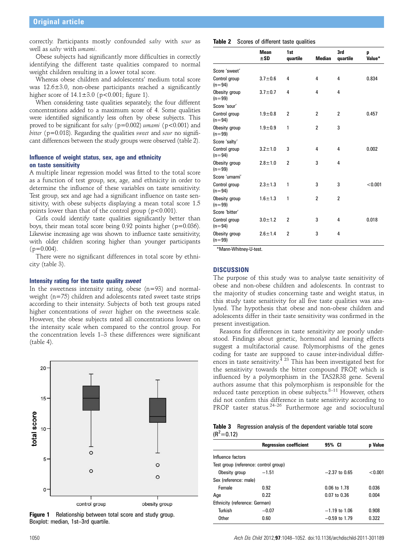correctly. Participants mostly confounded salty with sour as well as salty with umami.

Obese subjects had significantly more difficulties in correctly identifying the different taste qualities compared to normal weight children resulting in a lower total score.

Whereas obese children and adolescents' medium total score was 12.6±3.0, non-obese participants reached a significantly higher score of  $14.1 \pm 3.0$  (p<0.001; figure 1).

When considering taste qualities separately, the four different concentrations added to a maximum score of 4. Some qualities were identified significantly less often by obese subjects. This proved to be significant for salty ( $p=0.002$ ) umami ( $p<0.001$ ) and bitter ( $p=0.018$ ). Regarding the qualities sweet and sour no significant differences between the study groups were observed (table 2).

#### Influence of weight status, sex, age and ethnicity on taste sensitivity

A multiple linear regression model was fitted to the total score as a function of test group, sex, age, and ethnicity in order to determine the influence of these variables on taste sensitivity. Test group, sex and age had a significant influence on taste sensitivity, with obese subjects displaying a mean total score 1.5 points lower than that of the control group ( $p < 0.001$ ).

Girls could identify taste qualities significantly better than boys, their mean total score being 0.92 points higher (p=0.036). Likewise increasing age was shown to influence taste sensitivity, with older children scoring higher than younger participants  $(p=0.004)$ .

There were no significant differences in total score by ethnicity (table 3).

#### Intensity rating for the taste quality sweet

In the sweetness intensity rating, obese  $(n=93)$  and normalweight (n=75) children and adolescents rated sweet taste strips according to their intensity. Subjects of both test groups rated higher concentrations of sweet higher on the sweetness scale. However, the obese subjects rated all concentrations lower on the intensity scale when compared to the control group. For the concentration levels 1–3 these differences were significant (table 4).



Figure 1 Relationship between total score and study group. Boxplot: median, 1st–3rd quartile.

|                           | <b>Mean</b><br>±SD | 1st<br>quartile | <b>Median</b>  | 3rd<br>quartile | p<br>Value* |
|---------------------------|--------------------|-----------------|----------------|-----------------|-------------|
| Score 'sweet'             |                    |                 |                |                 |             |
| Control group<br>$(n=94)$ | $3.7 \pm 0.6$      | 4               | 4              | 4               | 0.834       |
| Obesity group<br>$(n=99)$ | $3.7 \pm 0.7$      | 4               | 4              | 4               |             |
| Score 'sour'              |                    |                 |                |                 |             |
| Control group<br>$(n=94)$ | $1.9 + 0.8$        | 2               | $\overline{2}$ | $\overline{2}$  | 0.457       |
| Obesity group<br>$(n=99)$ | $1.9 + 0.9$        | 1               | $\overline{2}$ | 3               |             |
| Score 'salty'             |                    |                 |                |                 |             |
| Control group<br>$(n=94)$ | $3.2 \pm 1.0$      | 3               | 4              | 4               | 0.002       |
| Obesity group<br>$(n=99)$ | $2.8 \pm 1.0$      | 2               | 3              | 4               |             |
| Score 'umami'             |                    |                 |                |                 |             |
| Control group<br>$(n=94)$ | $2.3 \pm 1.3$      | 1               | 3              | 3               | < 0.001     |
| Obesity group<br>$(n=99)$ | $1.6 \pm 1.3$      | 1               | $\overline{2}$ | $\overline{2}$  |             |
| Score 'bitter'            |                    |                 |                |                 |             |
| Control group<br>$(n=94)$ | $3.0 \pm 1.2$      | 2               | 3              | 4               | 0.018       |
| Obesity group<br>$(n=99)$ | $2.6 \pm 1.4$      | 2               | 3              | 4               |             |

\*Mann-Whitney-U-test.

# **DISCUSSION**

The purpose of this study was to analyse taste sensitivity of obese and non-obese children and adolescents. In contrast to the majority of studies concerning taste and weight status, in this study taste sensitivity for all five taste qualities was analysed. The hypothesis that obese and non-obese children and adolescents differ in their taste sensitivity was confirmed in the present investigation.

Reasons for differences in taste sensitivity are poorly understood. Findings about genetic, hormonal and learning effects suggest a multifactorial cause. Polymorphisms of the genes coding for taste are supposed to cause inter-individual differences in taste sensitivity.<sup>4 23</sup> This has been investigated best for the sensitivity towards the bitter compound PROP, which is influenced by a polymorphism in the TAS2R38 gene. Several authors assume that this polymorphism is responsible for the reduced taste perception in obese subjects. $8-11$  However, others did not confirm this difference in taste sensitivity according to PROP taster status. $24-26$  Furthermore age and sociocultural

Table 3 Regression analysis of the dependent variable total score  $(R^2=0.12)$ 

|                                       | <b>Regression coefficient</b> | 95% CI           | <b>p</b> Value |
|---------------------------------------|-------------------------------|------------------|----------------|
| Influence factors                     |                               |                  |                |
| Test group (reference: control group) |                               |                  |                |
| Obesity group                         | $-1.51$                       | $-2.37$ to 0.65  | < 0.001        |
| Sex (reference: male)                 |                               |                  |                |
| Female                                | 0.92                          | $0.06$ to 1.78   | 0.036          |
| Age                                   | 0.22                          | $0.07$ to $0.36$ | 0.004          |
| Ethnicity (reference: German)         |                               |                  |                |
| Turkish                               | $-0.07$                       | $-1.19$ to 1.06  | 0.908          |
| Other                                 | 0.60                          | $-0.59$ to 1.79  | 0.322          |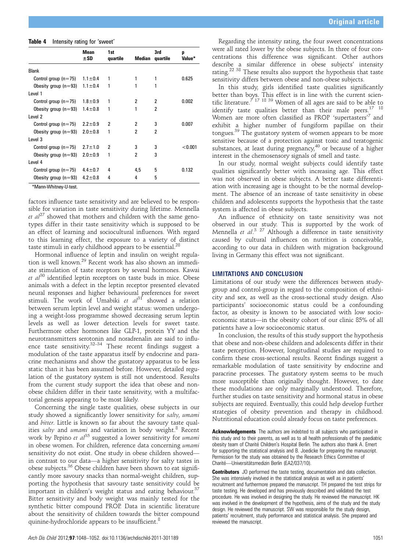| Table 4 | Intensity rating for 'sweet' |  |  |  |
|---------|------------------------------|--|--|--|
|---------|------------------------------|--|--|--|

|                        | <b>Mean</b><br>±SD | 1st<br>quartile | Median         | 3rd<br>quartile | p<br>Value* |
|------------------------|--------------------|-----------------|----------------|-----------------|-------------|
|                        |                    |                 |                |                 |             |
| <b>Blank</b>           |                    |                 |                |                 |             |
| Control group $(n=75)$ | $1.1 \pm 0.4$      | 1               | 1              | 1               | 0.625       |
| Obesity group $(n=93)$ | $1.1 \pm 0.4$      | 1               | 1              | 1               |             |
| Level 1                |                    |                 |                |                 |             |
| Control group $(n=75)$ | $1.8 + 0.9$        | 1               | $\overline{2}$ | 2               | 0.002       |
| Obesity group $(n=93)$ | $1.4 \pm 0.8$      | 1               | 1              | 2               |             |
| Level 2                |                    |                 |                |                 |             |
| Control group $(n=75)$ | $2.2 \pm 0.9$      | 2               | 2              | 3               | 0.007       |
| Obesity group $(n=93)$ | $2.0 \pm 0.8$      | 1               | 2              | 2               |             |
| Level 3                |                    |                 |                |                 |             |
| Control group $(n=75)$ | $2.7 \pm 1.0$      | 2               | 3              | 3               | < 0.001     |
| Obesity group $(n=93)$ | $2.0 \pm 0.9$      | 1               | 2              | 3               |             |
| Level 4                |                    |                 |                |                 |             |
| Control group $(n=75)$ | $4.4 \pm 0.7$      | 4               | 4,5            | 5               | 0.132       |
| Obesity group $(n=93)$ | $4.2 \pm 0.8$      | 4               | 4              | 5               |             |

\*Mann-Whitney-U-test.

factors influence taste sensitivity and are believed to be responsible for variation in taste sensitivity during lifetime. Mennella et  $al^{27}$  showed that mothers and children with the same genotypes differ in their taste sensitivity which is supposed to be an effect of learning and sociocultural influences. With regard to this learning effect, the exposure to a variety of distinct taste stimuli in early childhood appears to be essential.<sup>28</sup>

Hormonal influence of leptin and insulin on weight regulation is well known.<sup>29</sup> Recent work has also shown an immediate stimulation of taste receptors by several hormones. Kawai et  $al^{30}$  identified leptin receptors on taste buds in mice. Obese animals with a defect in the leptin receptor presented elevated neural responses and higher behavioural preferences for sweet stimuli. The work of Umabiki et  $al^{31}$  showed a relation between serum leptin level and weight status: women undergoing a weight-loss programme showed decreasing serum leptin levels as well as lower detection levels for sweet taste. Furthermore other hormones like GLP-1, protein YY and the neurotransmitters serotonin and noradrenalin are said to influence taste sensitivity.<sup>32–34</sup> These recent findings suggest a modulation of the taste apparatus itself by endocrine and paracrine mechanisms and show the gustatory apparatus to be less static than it has been assumed before. However, detailed regulation of the gustatory system is still not understood. Results from the current study support the idea that obese and nonobese children differ in their taste sensitivity, with a multifactorial genesis appearing to be most likely.

Concerning the single taste qualities, obese subjects in our study showed a significantly lower sensitivity for salty, umami and bitter. Little is known so far about the savoury taste qualities salty and umami and variation in body weight.<sup>8</sup> Recent work by Pepino et  $a^{35}$  suggested a lower sensitivity for umami in obese women. For children, reference data concerning umami sensitivity do not exist. One study in obese children showed in contrast to our data—a higher sensitivity for salty tastes in obese subjects.36 Obese children have been shown to eat significantly more savoury snacks than normal-weight children, supporting the hypothesis that savoury taste sensitivity could be important in children's weight status and eating behaviour.<sup>3</sup> Bitter sensitivity and body weight was mainly tested for the synthetic bitter compound PROP. Data in scientific literature about the sensitivity of children towards the bitter compound quinine-hydrochloride appears to be insufficient.<sup>8</sup>

Regarding the intensity rating, the four sweet concentrations were all rated lower by the obese subjects. In three of four concentrations this difference was significant. Other authors describe a similar difference in obese subjects' intensity rating.22 38 These results also support the hypothesis that taste sensitivity differs between obese and non-obese subjects.

In this study, girls identified taste qualities significantly better than boys. This effect is in line with the current scientific literature.<sup>7 17 18 39</sup> Women of all ages are said to be able to identify taste qualities better than their male peers.<sup>17 18</sup> Women are more often classified as PROP 'supertasters'7 and exhibit a higher number of fungiform papillae on their tongues.39 The gustatory system of women appears to be more sensitive because of a protection against toxic and teratogenic substances, at least during pregnancy,  $40$  or because of a higher interest in the chemosensory signals of smell and taste.

In our study, normal weight subjects could identify taste qualities significantly better with increasing age. This effect was not observed in obese subjects. A better taste differentiation with increasing age is thought to be the normal development. The absence of an increase of taste sensitivity in obese children and adolescents supports the hypothesis that the taste system is affected in obese subjects.

An influence of ethnicity on taste sensitivity was not observed in our study. This is supported by the work of Mennella *et al.*<sup>3</sup> <sup>27</sup> Although a difference in taste sensitivity<br>caused by cultural influences on putrition is conceivable caused by cultural influences on nutrition is conceivable, according to our data in children with migration background living in Germany this effect was not significant.

## LIMITATIONS AND CONCLUSION

Limitations of our study were the differences between studygroup and control-group in regard to the composition of ethnicity and sex, as well as the cross-sectional study design. Also participants' socioeconomic status could be a confounding factor, as obesity is known to be associated with low socioeconomic status—in the obesity cohort of our clinic 85% of all patients have a low socioeconomic status.

In conclusion, the results of this study support the hypothesis that obese and non-obese children and adolescents differ in their taste perception. However, longitudinal studies are required to confirm these cross-sectional results. Recent findings suggest a remarkable modulation of taste sensitivity by endocrine and paracrine processes. The gustatory system seems to be much more susceptible than originally thought. However, to date these modulations are only marginally understood. Therefore, further studies on taste sensitivity and hormonal status in obese subjects are required. Eventually, this could help develop further strategies of obesity prevention and therapy in childhood. Nutritional education could already focus on taste preferences.

Acknowledgements The authors are indebted to all subjects who participated in this study and to their parents, as well as to all health professionals of the paediatric obesity team of Charité Children's Hospital Berlin. The authors also thank A. Ernert for supporting the statistical analysis and B. Joedicke for preparing the manuscript. Permission for the study was obtained by the Research Ethics Committee of Charité—Universitätsmedizin Berlin (EA2/037/10).

**Contributors** JO performed the taste testing, documentation and data collection. She was intensively involved in the statistical analysis as well as in patients' recruitment and furthermore prepared the manuscript. TH prepared the test strips for taste testing. He developed and has previously described and validated the test procedure. He was involved in designing the study. He reviewed the manuscript. HK was involved in the development of the hypothesis, aims of the study and the study design. He reviewed the manuscript. SW was responsible for the study design, patients' recruitment, study performance and statistical analysis. She prepared and reviewed the manuscript.